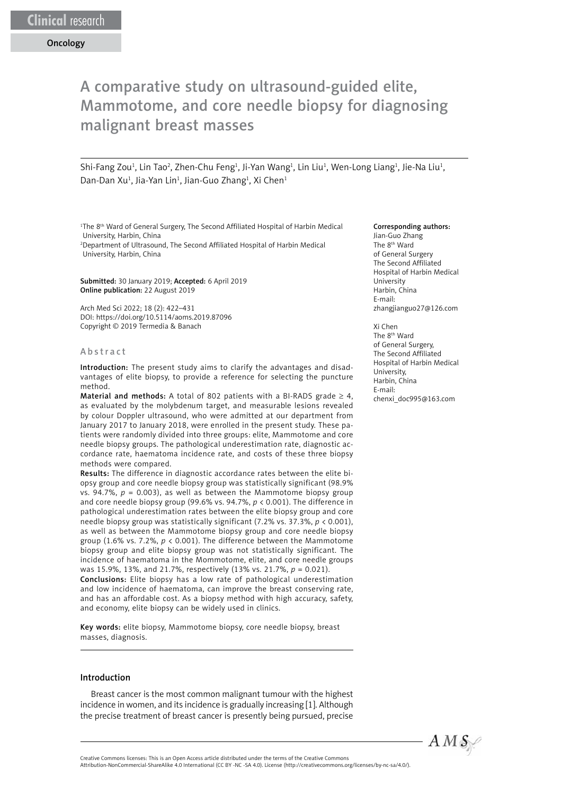# A comparative study on ultrasound-guided elite, Mammotome, and core needle biopsy for diagnosing malignant breast masses

Shi-Fang Zou<sup>1</sup>, Lin Tao<sup>2</sup>, Zhen-Chu Feng<sup>1</sup>, Ji-Yan Wang<sup>1</sup>, Lin Liu<sup>1</sup>, Wen-Long Liang<sup>1</sup>, Jie-Na Liu<sup>1</sup>, Dan-Dan Xu<sup>1</sup>, Jia-Yan Lin<sup>1</sup>, Jian-Guo Zhang<sup>1</sup>, Xi Chen<sup>1</sup>

<sup>1</sup>The 8<sup>th</sup> Ward of General Surgery, The Second Affiliated Hospital of Harbin Medical University, Harbin, China

2 Department of Ultrasound, The Second Affiliated Hospital of Harbin Medical University, Harbin, China

Submitted: 30 January 2019; Accepted: 6 April 2019 Online publication: 22 August 2019

Arch Med Sci 2022; 18 (2): 422–431 DOI: https://doi.org/10.5114/aoms.2019.87096 Copyright © 2019 Termedia & Banach

#### Abstract

Introduction: The present study aims to clarify the advantages and disadvantages of elite biopsy, to provide a reference for selecting the puncture method.

Material and methods: A total of 802 patients with a BI-RADS grade  $\geq 4$ , as evaluated by the molybdenum target, and measurable lesions revealed by colour Doppler ultrasound, who were admitted at our department from January 2017 to January 2018, were enrolled in the present study. These patients were randomly divided into three groups: elite, Mammotome and core needle biopsy groups. The pathological underestimation rate, diagnostic accordance rate, haematoma incidence rate, and costs of these three biopsy methods were compared.

Results: The difference in diagnostic accordance rates between the elite biopsy group and core needle biopsy group was statistically significant (98.9% vs. 94.7%,  $p = 0.003$ ), as well as between the Mammotome biopsy group and core needle biopsy group (99.6% vs. 94.7%, *p* < 0.001). The difference in pathological underestimation rates between the elite biopsy group and core needle biopsy group was statistically significant (7.2% vs. 37.3%, *p* < 0.001), as well as between the Mammotome biopsy group and core needle biopsy group (1.6% vs. 7.2%, *p* < 0.001). The difference between the Mammotome biopsy group and elite biopsy group was not statistically significant. The incidence of haematoma in the Mommotome, elite, and core needle groups was 15.9%, 13%, and 21.7%, respectively (13% vs. 21.7%, *p* = 0.021).

Conclusions: Elite biopsy has a low rate of pathological underestimation and low incidence of haematoma, can improve the breast conserving rate, and has an affordable cost. As a biopsy method with high accuracy, safety, and economy, elite biopsy can be widely used in clinics.

Key words: elite biopsy, Mammotome biopsy, core needle biopsy, breast masses, diagnosis.

#### Introduction

Breast cancer is the most common malignant tumour with the highest incidence in women, and its incidence is gradually increasing [1]. Although the precise treatment of breast cancer is presently being pursued, precise

#### Corresponding authors:

Jian-Guo Zhang The 8th Ward of General Surgery The Second Affiliated Hospital of Harbin Medical University Harbin, China E-mail: zhangjianguo27@126.com

Xi Chen The 8th Ward of General Surgery, The Second Affiliated Hospital of Harbin Medical University, Harbin, China E-mail: chenxi\_doc995@163.com

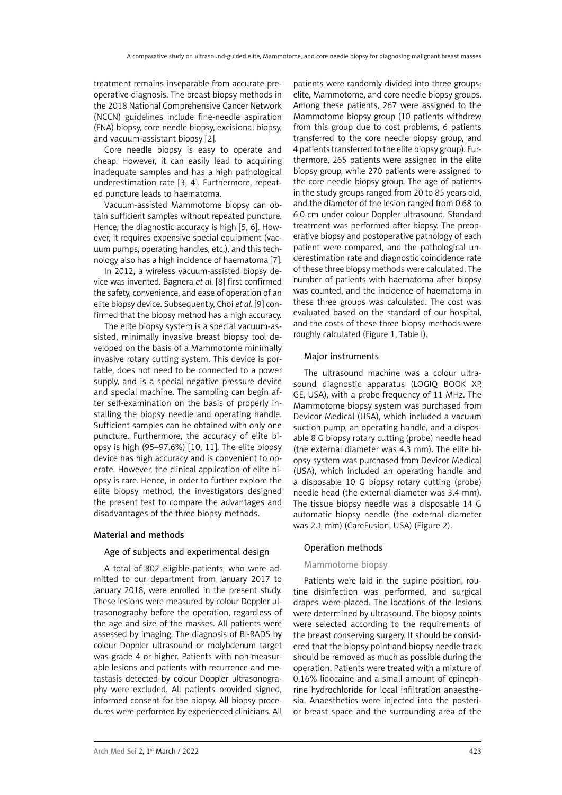treatment remains inseparable from accurate preoperative diagnosis. The breast biopsy methods in the 2018 National Comprehensive Cancer Network (NCCN) guidelines include fine-needle aspiration (FNA) biopsy, core needle biopsy, excisional biopsy, and vacuum-assistant biopsy [2].

Core needle biopsy is easy to operate and cheap. However, it can easily lead to acquiring inadequate samples and has a high pathological underestimation rate [3, 4]. Furthermore, repeated puncture leads to haematoma.

Vacuum-assisted Mammotome biopsy can obtain sufficient samples without repeated puncture. Hence, the diagnostic accuracy is high [5, 6]. However, it requires expensive special equipment (vacuum pumps, operating handles, etc.), and this technology also has a high incidence of haematoma [7].

In 2012, a wireless vacuum-assisted biopsy device was invented. Bagnera *et al.* [8] first confirmed the safety, convenience, and ease of operation of an elite biopsy device. Subsequently, Choi *et al.* [9] confirmed that the biopsy method has a high accuracy.

The elite biopsy system is a special vacuum-assisted, minimally invasive breast biopsy tool developed on the basis of a Mammotome minimally invasive rotary cutting system. This device is portable, does not need to be connected to a power supply, and is a special negative pressure device and special machine. The sampling can begin after self-examination on the basis of properly installing the biopsy needle and operating handle. Sufficient samples can be obtained with only one puncture. Furthermore, the accuracy of elite biopsy is high (95–97.6%) [10, 11]. The elite biopsy device has high accuracy and is convenient to operate. However, the clinical application of elite biopsy is rare. Hence, in order to further explore the elite biopsy method, the investigators designed the present test to compare the advantages and disadvantages of the three biopsy methods.

## Material and methods

# Age of subjects and experimental design

A total of 802 eligible patients, who were admitted to our department from January 2017 to January 2018, were enrolled in the present study. These lesions were measured by colour Doppler ultrasonography before the operation, regardless of the age and size of the masses. All patients were assessed by imaging. The diagnosis of BI-RADS by colour Doppler ultrasound or molybdenum target was grade 4 or higher. Patients with non-measurable lesions and patients with recurrence and metastasis detected by colour Doppler ultrasonography were excluded. All patients provided signed, informed consent for the biopsy. All biopsy procedures were performed by experienced clinicians. All

patients were randomly divided into three groups: elite, Mammotome, and core needle biopsy groups. Among these patients, 267 were assigned to the Mammotome biopsy group (10 patients withdrew from this group due to cost problems, 6 patients transferred to the core needle biopsy group, and 4 patients transferred to the elite biopsy group). Furthermore, 265 patients were assigned in the elite biopsy group, while 270 patients were assigned to the core needle biopsy group. The age of patients in the study groups ranged from 20 to 85 years old, and the diameter of the lesion ranged from 0.68 to 6.0 cm under colour Doppler ultrasound. Standard treatment was performed after biopsy. The preoperative biopsy and postoperative pathology of each patient were compared, and the pathological underestimation rate and diagnostic coincidence rate of these three biopsy methods were calculated. The number of patients with haematoma after biopsy was counted, and the incidence of haematoma in these three groups was calculated. The cost was evaluated based on the standard of our hospital, and the costs of these three biopsy methods were roughly calculated (Figure 1, Table I).

## Major instruments

The ultrasound machine was a colour ultrasound diagnostic apparatus (LOGIQ BOOK XP, GE, USA), with a probe frequency of 11 MHz. The Mammotome biopsy system was purchased from Devicor Medical (USA), which included a vacuum suction pump, an operating handle, and a disposable 8 G biopsy rotary cutting (probe) needle head (the external diameter was 4.3 mm). The elite biopsy system was purchased from Devicor Medical (USA), which included an operating handle and a disposable 10 G biopsy rotary cutting (probe) needle head (the external diameter was 3.4 mm). The tissue biopsy needle was a disposable 14 G automatic biopsy needle (the external diameter was 2.1 mm) (CareFusion, USA) (Figure 2).

## Operation methods

#### Mammotome biopsy

Patients were laid in the supine position, routine disinfection was performed, and surgical drapes were placed. The locations of the lesions were determined by ultrasound. The biopsy points were selected according to the requirements of the breast conserving surgery. It should be considered that the biopsy point and biopsy needle track should be removed as much as possible during the operation. Patients were treated with a mixture of 0.16% lidocaine and a small amount of epinephrine hydrochloride for local infiltration anaesthesia. Anaesthetics were injected into the posterior breast space and the surrounding area of the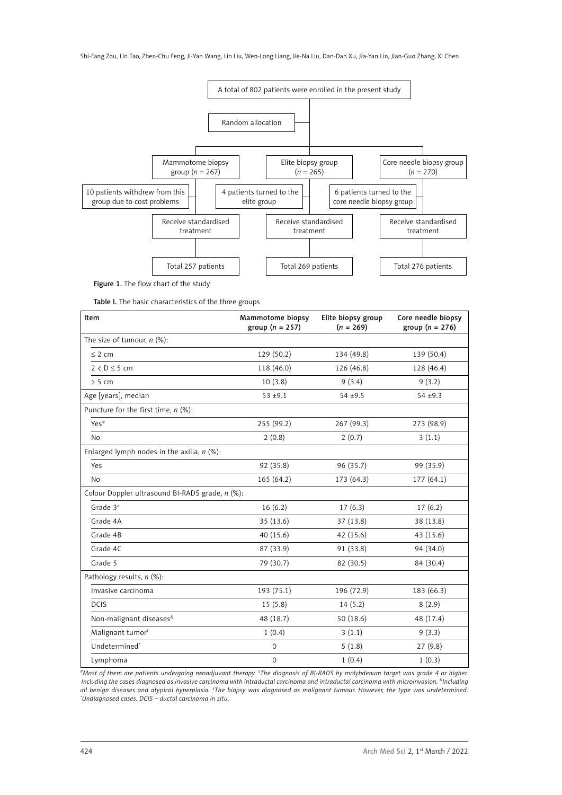Shi-Fang Zou, Lin Tao, Zhen-Chu Feng, Ji-Yan Wang, Lin Liu, Wen-Long Liang, Jie-Na Liu, Dan-Dan Xu, Jia-Yan Lin, Jian-Guo Zhang, Xi Chen



Figure 1. The flow chart of the study

Table I. The basic characteristics of the three groups

| Item                                            | Mammotome biopsy<br>group ( $n = 257$ ) | Elite biopsy group<br>$(n = 269)$ | Core needle biopsy<br>group $(n = 276)$ |
|-------------------------------------------------|-----------------------------------------|-----------------------------------|-----------------------------------------|
| The size of tumour, $n$ (%):                    |                                         |                                   |                                         |
| $\leq$ 2 cm                                     | 129 (50.2)                              | 134 (49.8)                        | 139 (50.4)                              |
| $2 < D \leq 5$ cm                               | 118 (46.0)                              | 126 (46.8)                        | 128 (46.4)                              |
| > 5 cm                                          | 10(3.8)                                 | 9(3.4)                            | 9(3.2)                                  |
| Age [years], median                             | $53 + 9.1$                              | $54 + 9.5$                        | $54 + 9.3$                              |
| Puncture for the first time, $n$ (%):           |                                         |                                   |                                         |
| Yes#                                            | 255 (99.2)                              | 267 (99.3)                        | 273 (98.9)                              |
| <b>No</b>                                       | 2(0.8)                                  | 2(0.7)                            | 3(1.1)                                  |
| Enlarged lymph nodes in the axilla, $n$ (%):    |                                         |                                   |                                         |
| Yes                                             | 92 (35.8)                               | 96 (35.7)                         | 99 (35.9)                               |
| <b>No</b>                                       | 165 (64.2)                              | 173 (64.3)                        | 177(64.1)                               |
| Colour Doppler ultrasound BI-RADS grade, n (%): |                                         |                                   |                                         |
| Grade $3a$                                      | 16(6.2)                                 | 17(6.3)                           | 17(6.2)                                 |
| Grade 4A                                        | 35 (13.6)                               | 37 (13.8)                         | 38 (13.8)                               |
| Grade 4B                                        | 40 (15.6)                               | 42 (15.6)                         | 43 (15.6)                               |
| Grade 4C                                        | 87 (33.9)                               | 91 (33.8)                         | 94 (34.0)                               |
| Grade 5                                         | 79 (30.7)                               | 82 (30.5)                         | 84 (30.4)                               |
| Pathology results, n (%):                       |                                         |                                   |                                         |
| Invasive carcinoma                              | 193 (75.1)                              | 196 (72.9)                        | 183 (66.3)                              |
| <b>DCIS</b>                                     | 15(5.8)                                 | 14(5.2)                           | 8(2.9)                                  |
| Non-malignant diseases <sup>&amp;</sup>         | 48 (18.7)                               | 50 (18.6)                         | 48 (17.4)                               |
| Malignant tumor <sup>£</sup>                    | 1(0.4)                                  | 3(1.1)                            | 9(3.3)                                  |
| Undetermined*                                   | $\Omega$                                | 5(1.8)                            | 27(9.8)                                 |
| Lymphoma                                        | $\mathbf 0$                             | 1(0.4)                            | 1(0.3)                                  |

*#Most of them are patients undergoing neoadjuvant therapy. a The diagnosis of BI-RADS by molybdenum target was grade 4 or higher. Including the cases diagnosed as invasive carcinoma with intraductal carcinoma and intraductal carcinoma with microinvasion. &Including*  all benign diseases and atypical hyperplasia. <sup>1</sup>The biopsy was diagnosed as malignant tumour. However, the type was undetermined.<br>\*Undiganosed cases DCIS – ductal carcinoma in situ *Undiagnosed cases. DCIS – ductal carcinoma in situ.*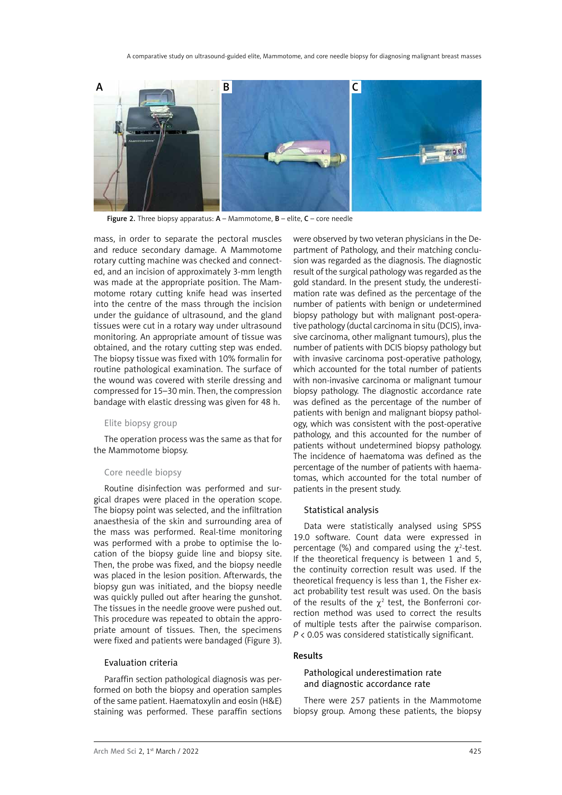

Figure 2. Three biopsy apparatus:  $A - M$ ammotome,  $B -$ elite,  $C -$ core needle

mass, in order to separate the pectoral muscles and reduce secondary damage. A Mammotome rotary cutting machine was checked and connected, and an incision of approximately 3-mm length was made at the appropriate position. The Mammotome rotary cutting knife head was inserted into the centre of the mass through the incision under the guidance of ultrasound, and the gland tissues were cut in a rotary way under ultrasound monitoring. An appropriate amount of tissue was obtained, and the rotary cutting step was ended. The biopsy tissue was fixed with 10% formalin for routine pathological examination. The surface of the wound was covered with sterile dressing and compressed for 15–30 min. Then, the compression bandage with elastic dressing was given for 48 h.

#### Elite biopsy group

The operation process was the same as that for the Mammotome biopsy.

## Core needle biopsy

Routine disinfection was performed and surgical drapes were placed in the operation scope. The biopsy point was selected, and the infiltration anaesthesia of the skin and surrounding area of the mass was performed. Real-time monitoring was performed with a probe to optimise the location of the biopsy guide line and biopsy site. Then, the probe was fixed, and the biopsy needle was placed in the lesion position. Afterwards, the biopsy gun was initiated, and the biopsy needle was quickly pulled out after hearing the gunshot. The tissues in the needle groove were pushed out. This procedure was repeated to obtain the appropriate amount of tissues. Then, the specimens were fixed and patients were bandaged (Figure 3).

## Evaluation criteria

Paraffin section pathological diagnosis was performed on both the biopsy and operation samples of the same patient. Haematoxylin and eosin (H&E) staining was performed. These paraffin sections were observed by two veteran physicians in the Department of Pathology, and their matching conclusion was regarded as the diagnosis. The diagnostic result of the surgical pathology was regarded as the gold standard. In the present study, the underestimation rate was defined as the percentage of the number of patients with benign or undetermined biopsy pathology but with malignant post-operative pathology (ductal carcinoma in situ (DCIS), invasive carcinoma, other malignant tumours), plus the number of patients with DCIS biopsy pathology but with invasive carcinoma post-operative pathology, which accounted for the total number of patients with non-invasive carcinoma or malignant tumour biopsy pathology. The diagnostic accordance rate was defined as the percentage of the number of patients with benign and malignant biopsy pathology, which was consistent with the post-operative pathology, and this accounted for the number of patients without undetermined biopsy pathology. The incidence of haematoma was defined as the percentage of the number of patients with haematomas, which accounted for the total number of patients in the present study.

# Statistical analysis

Data were statistically analysed using SPSS 19.0 software. Count data were expressed in percentage (%) and compared using the  $\chi^2$ -test. If the theoretical frequency is between 1 and 5, the continuity correction result was used. If the theoretical frequency is less than 1, the Fisher exact probability test result was used. On the basis of the results of the  $\chi^2$  test, the Bonferroni correction method was used to correct the results of multiple tests after the pairwise comparison. *P* < 0.05 was considered statistically significant.

# Results

# Pathological underestimation rate and diagnostic accordance rate

There were 257 patients in the Mammotome biopsy group. Among these patients, the biopsy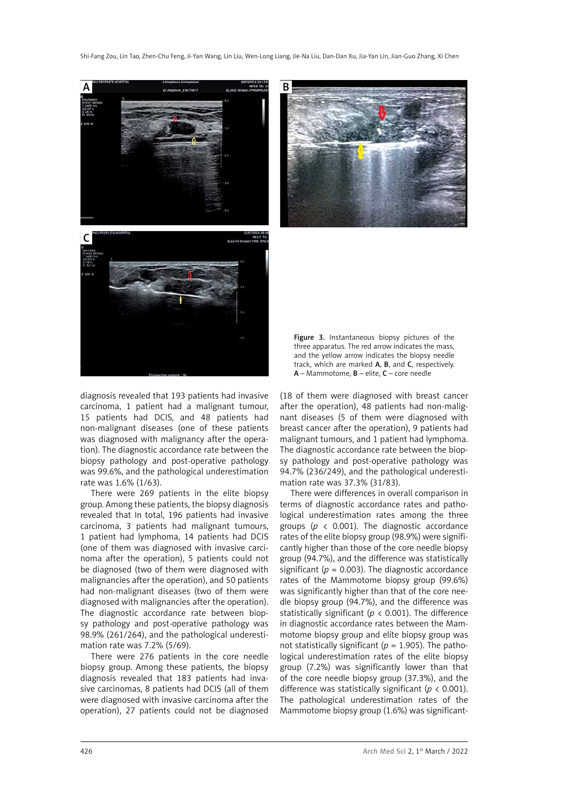



diagnosis revealed that 193 patients had invasive carcinoma, 1 patient had a malignant tumour, 15 patients had DCIS, and 48 patients had non-malignant diseases (one of these patients was diagnosed with malignancy after the operation). The diagnostic accordance rate between the biopsy pathology and post-operative pathology was 99.6%, and the pathological underestimation rate was 1.6% (1/63).

There were 269 patients in the elite biopsy group. Among these patients, the biopsy diagnosis revealed that In total, 196 patients had invasive carcinoma, 3 patients had malignant tumours, 1 patient had lymphoma, 14 patients had DCIS (one of them was diagnosed with invasive carcinoma after the operation), 5 patients could not be diagnosed (two of them were diagnosed with malignancies after the operation), and 50 patients had non-malignant diseases (two of them were diagnosed with malignancies after the operation). The diagnostic accordance rate between biopsy pathology and post-operative pathology was 98.9% (261/264), and the pathological underestimation rate was 7.2% (5/69).

There were 276 patients in the core needle biopsy group. Among these patients, the biopsy diagnosis revealed that 183 patients had invasive carcinomas, 8 patients had DCIS (all of them were diagnosed with invasive carcinoma after the operation), 27 patients could not be diagnosed

Figure 3. Instantaneous biopsy pictures of the three apparatus. The red arrow indicates the mass, and the yellow arrow indicates the biopsy needle track, which are marked A, B, and C, respectively.  $A - M$ ammotome,  $B -$ elite,  $C -$ core needle

(18 of them were diagnosed with breast cancer after the operation), 48 patients had non-malignant diseases (5 of them were diagnosed with breast cancer after the operation), 9 patients had malignant tumours, and 1 patient had lymphoma. The diagnostic accordance rate between the biopsy pathology and post-operative pathology was 94.7% (236/249), and the pathological underestimation rate was 37.3% (31/83).

There were differences in overall comparison in terms of diagnostic accordance rates and pathological underestimation rates among the three groups ( $p \le 0.001$ ). The diagnostic accordance rates of the elite biopsy group (98.9%) were significantly higher than those of the core needle biopsy group (94.7%), and the difference was statistically significant ( $p = 0.003$ ). The diagnostic accordance rates of the Mammotome biopsy group (99.6%) was significantly higher than that of the core needle biopsy group (94.7%), and the difference was statistically significant ( $p < 0.001$ ). The difference in diagnostic accordance rates between the Mammotome biopsy group and elite biopsy group was not statistically significant ( $p = 1.905$ ). The pathological underestimation rates of the elite biopsy group (7.2%) was significantly lower than that of the core needle biopsy group (37.3%), and the difference was statistically significant (*p* < 0.001). The pathological underestimation rates of the Mammotome biopsy group (1.6%) was significant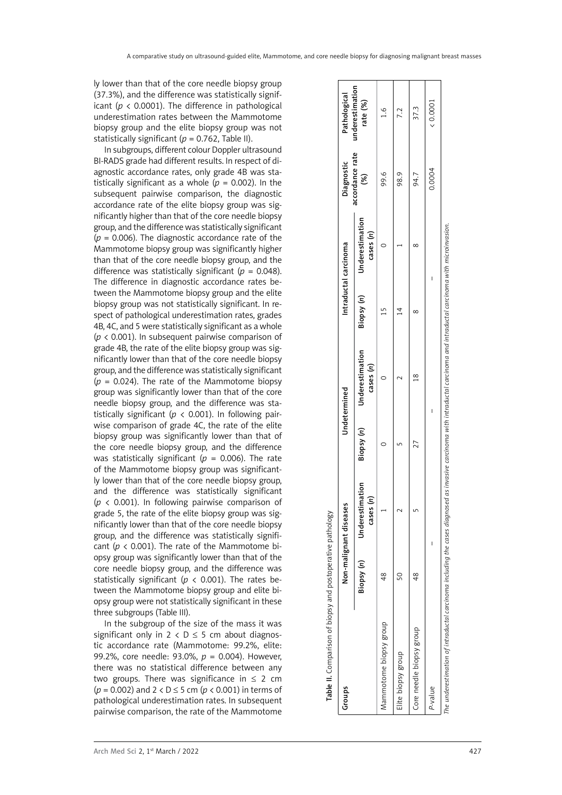ly lower than that of the core needle biopsy group (37.3%), and the difference was statistically significant ( $p \lt 0.0001$ ). The difference in pathological underestimation rates between the Mammotome biopsy group and the elite biopsy group was not statistically significant  $(p = 0.762,$  Table II).

In subgroups, different colour Doppler ultrasound BI-RADS grade had different results. In respect of diagnostic accordance rates, only grade 4B was statistically significant as a whole  $(p = 0.002)$ . In the subsequent pairwise comparison, the diagnostic accordance rate of the elite biopsy group was significantly higher than that of the core needle biopsy group, and the difference was statistically significant (*p* = 0.006). The diagnostic accordance rate of the Mammotome biopsy group was significantly higher than that of the core needle biopsy group, and the difference was statistically significant (*p* = 0.048). The difference in diagnostic accordance rates between the Mammotome biopsy group and the elite biopsy group was not statistically significant. In respect of pathological underestimation rates, grades 4B, 4C, and 5 were statistically significant as a whole (*p* < 0.001). In subsequent pairwise comparison of grade 4B, the rate of the elite biopsy group was significantly lower than that of the core needle biopsy group, and the difference was statistically significant  $(p = 0.024)$ . The rate of the Mammotome biopsy group was significantly lower than that of the core needle biopsy group, and the difference was statistically significant (*p* < 0.001). In following pairwise comparison of grade 4C, the rate of the elite biopsy group was significantly lower than that of the core needle biopsy group, and the difference was statistically significant ( $p = 0.006$ ). The rate of the Mammotome biopsy group was significantly lower than that of the core needle biopsy group, and the difference was statistically significant (*p* < 0.001). In following pairwise comparison of grade 5, the rate of the elite biopsy group was significantly lower than that of the core needle biopsy group, and the difference was statistically significant ( $p < 0.001$ ). The rate of the Mammotome biopsy group was significantly lower than that of the core needle biopsy group, and the difference was statistically significant ( $p \lt 0.001$ ). The rates between the Mammotome biopsy group and elite biopsy group were not statistically significant in these three subgroups (Table III).

In the subgroup of the size of the mass it was significant only in  $2 < D \le 5$  cm about diagnostic accordance rate (Mammotome: 99.2%, elite: 99.2%, core needle: 93.0%, *p* = 0.004). However, there was no statistical difference between any two groups. There was significance in  $\leq 2$  cm (*p* = 0.002) and 2 < D ≤ 5 cm (*p* < 0.001) in terms of pathological underestimation rates. In subsequent pairwise comparison, the rate of the Mammotome

| Groups                                                                                                                                                                    |               | Non-malignant diseases   |            | Undetermined                 |                | Intraductal carcinoma        | Diagnostic                  | Pathological                |
|---------------------------------------------------------------------------------------------------------------------------------------------------------------------------|---------------|--------------------------|------------|------------------------------|----------------|------------------------------|-----------------------------|-----------------------------|
|                                                                                                                                                                           | Biopsy (n)    | Underestimation<br>cases | Biopsy (n) | Underestimation<br>cases (n) | Biopsy (n)     | Underestimation<br>cases (n) | accordance rate<br>$\infty$ | underestimation<br>rate (%) |
| Mammotome biopsy group                                                                                                                                                    | $\frac{8}{4}$ |                          |            |                              | $^{15}$        |                              | 99.6                        | $-1.6$                      |
| Elite biopsy group                                                                                                                                                        |               |                          |            |                              | $\overline{4}$ |                              | 98.9                        | 7.2                         |
| Core needle biopsy group                                                                                                                                                  |               |                          |            | $\frac{8}{18}$               | ∝              | ∝                            | 94.7                        | 37.3                        |
| P-value                                                                                                                                                                   |               |                          |            |                              |                | ۱                            | 0.0004                      | (0.0001                     |
| The underestimation of intraductal carcinoma including the cases diagnosed as invasive carcinoma with intraductal carcinoma and intraductal carcinoma with microinvasion. |               |                          |            |                              |                |                              |                             |                             |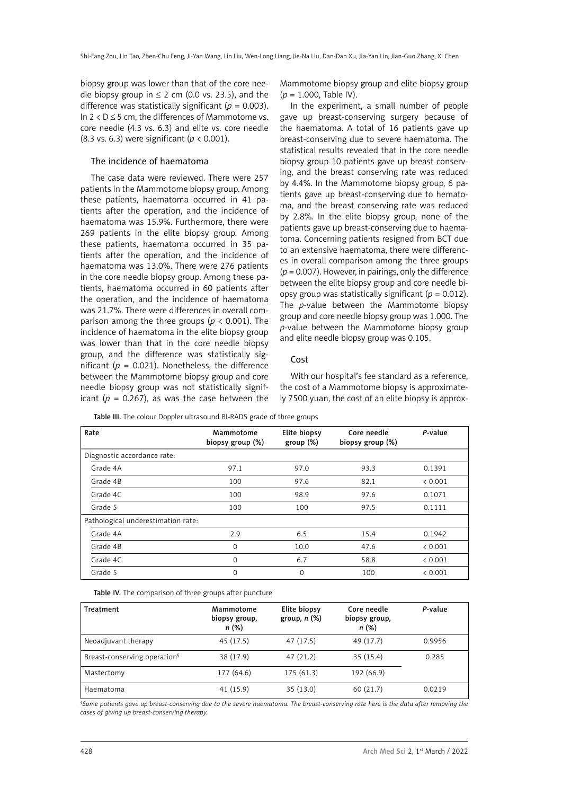biopsy group was lower than that of the core needle biopsy group in  $\leq$  2 cm (0.0 vs. 23.5), and the difference was statistically significant ( $p = 0.003$ ). In  $2 < D \le 5$  cm, the differences of Mammotome vs. core needle (4.3 vs. 6.3) and elite vs. core needle (8.3 vs. 6.3) were significant (*p* < 0.001).

# The incidence of haematoma

The case data were reviewed. There were 257 patients in the Mammotome biopsy group. Among these patients, haematoma occurred in 41 patients after the operation, and the incidence of haematoma was 15.9%. Furthermore, there were 269 patients in the elite biopsy group. Among these patients, haematoma occurred in 35 patients after the operation, and the incidence of haematoma was 13.0%. There were 276 patients in the core needle biopsy group. Among these patients, haematoma occurred in 60 patients after the operation, and the incidence of haematoma was 21.7%. There were differences in overall comparison among the three groups (*p* < 0.001). The incidence of haematoma in the elite biopsy group was lower than that in the core needle biopsy group, and the difference was statistically significant ( $p = 0.021$ ). Nonetheless, the difference between the Mammotome biopsy group and core needle biopsy group was not statistically significant ( $p = 0.267$ ), as was the case between the Mammotome biopsy group and elite biopsy group (*p* = 1.000, Table IV).

In the experiment, a small number of people gave up breast-conserving surgery because of the haematoma. A total of 16 patients gave up breast-conserving due to severe haematoma. The statistical results revealed that in the core needle biopsy group 10 patients gave up breast conserving, and the breast conserving rate was reduced by 4.4%. In the Mammotome biopsy group, 6 patients gave up breast-conserving due to hematoma, and the breast conserving rate was reduced by 2.8%. In the elite biopsy group, none of the patients gave up breast-conserving due to haematoma. Concerning patients resigned from BCT due to an extensive haematoma, there were differences in overall comparison among the three groups (*p* = 0.007). However, in pairings, only the difference between the elite biopsy group and core needle biopsy group was statistically significant ( $p = 0.012$ ). The *p-*value between the Mammotome biopsy group and core needle biopsy group was 1.000. The *p-*value between the Mammotome biopsy group and elite needle biopsy group was 0.105.

#### Cost

With our hospital's fee standard as a reference, the cost of a Mammotome biopsy is approximately 7500 yuan, the cost of an elite biopsy is approx-

Table III. The colour Doppler ultrasound BI-RADS grade of three groups

| Rate                               | Mammotome<br>biopsy group (%) | Elite biopsy<br>group (%) | Core needle<br>biopsy group (%) | P-value |
|------------------------------------|-------------------------------|---------------------------|---------------------------------|---------|
| Diagnostic accordance rate:        |                               |                           |                                 |         |
| Grade 4A                           | 97.1                          | 97.0                      | 93.3                            | 0.1391  |
| Grade 4B                           | 100                           | 97.6                      | 82.1                            | < 0.001 |
| Grade 4C                           | 100                           | 98.9                      | 97.6                            | 0.1071  |
| Grade 5                            | 100                           | 100                       | 97.5                            | 0.1111  |
| Pathological underestimation rate: |                               |                           |                                 |         |
| Grade 4A                           | 2.9                           | 6.5                       | 15.4                            | 0.1942  |
| Grade 4B                           | $\Omega$                      | 10.0                      | 47.6                            | < 0.001 |
| Grade 4C                           | $\Omega$                      | 6.7                       | 58.8                            | < 0.001 |
| Grade 5                            | $\Omega$                      | $\Omega$                  | 100                             | & 0.001 |

Table IV. The comparison of three groups after puncture

| Treatment                                | Mammotome<br>biopsy group,<br>n (%) | Elite biopsy<br>group, $n$ $(\%)$ | Core needle<br>biopsy group,<br>n (%) | P-value |
|------------------------------------------|-------------------------------------|-----------------------------------|---------------------------------------|---------|
| Neoadjuvant therapy                      | 45 (17.5)                           | 47(17.5)                          | 49 (17.7)                             | 0.9956  |
| Breast-conserving operation <sup>§</sup> | 38 (17.9)                           | 47(21.2)                          | 35(15.4)                              | 0.285   |
| Mastectomy                               | 177 (64.6)                          | 175(61.3)                         | 192 (66.9)                            |         |
| Haematoma                                | 41 (15.9)                           | 35(13.0)                          | 60(21.7)                              | 0.0219  |

*§ Some patients gave up breast-conserving due to the severe haematoma. The breast-conserving rate here is the data after removing the cases of giving up breast-conserving therapy.*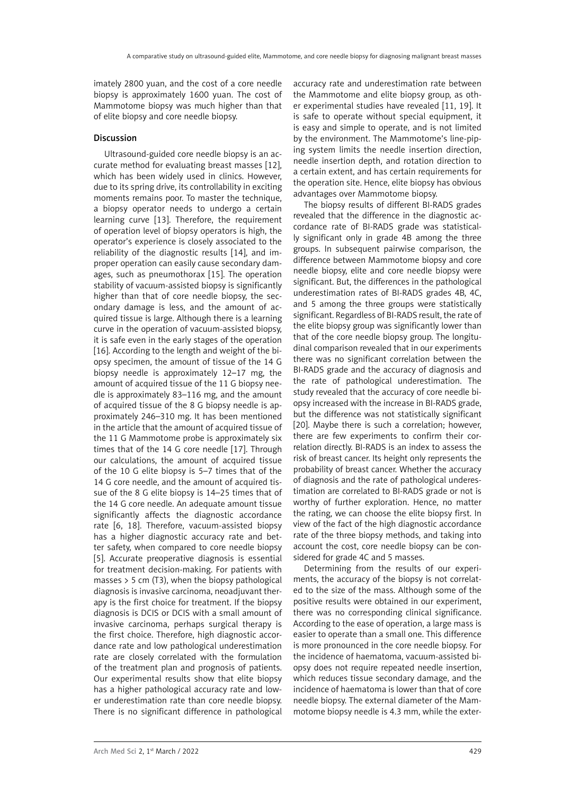imately 2800 yuan, and the cost of a core needle biopsy is approximately 1600 yuan. The cost of Mammotome biopsy was much higher than that of elite biopsy and core needle biopsy.

# Discussion

Ultrasound-guided core needle biopsy is an accurate method for evaluating breast masses [12], which has been widely used in clinics. However, due to its spring drive, its controllability in exciting moments remains poor. To master the technique, a biopsy operator needs to undergo a certain learning curve [13]. Therefore, the requirement of operation level of biopsy operators is high, the operator's experience is closely associated to the reliability of the diagnostic results [14], and improper operation can easily cause secondary damages, such as pneumothorax [15]. The operation stability of vacuum-assisted biopsy is significantly higher than that of core needle biopsy, the secondary damage is less, and the amount of acquired tissue is large. Although there is a learning curve in the operation of vacuum-assisted biopsy, it is safe even in the early stages of the operation [16]. According to the length and weight of the biopsy specimen, the amount of tissue of the 14 G biopsy needle is approximately 12–17 mg, the amount of acquired tissue of the 11 G biopsy needle is approximately 83–116 mg, and the amount of acquired tissue of the 8 G biopsy needle is approximately 246–310 mg. It has been mentioned in the article that the amount of acquired tissue of the 11 G Mammotome probe is approximately six times that of the 14 G core needle [17]. Through our calculations, the amount of acquired tissue of the 10 G elite biopsy is 5–7 times that of the 14 G core needle, and the amount of acquired tissue of the 8 G elite biopsy is 14–25 times that of the 14 G core needle. An adequate amount tissue significantly affects the diagnostic accordance rate [6, 18]. Therefore, vacuum-assisted biopsy has a higher diagnostic accuracy rate and better safety, when compared to core needle biopsy [5]. Accurate preoperative diagnosis is essential for treatment decision-making. For patients with masses  $>$  5 cm (T3), when the biopsy pathological diagnosis is invasive carcinoma, neoadjuvant therapy is the first choice for treatment. If the biopsy diagnosis is DCIS or DCIS with a small amount of invasive carcinoma, perhaps surgical therapy is the first choice. Therefore, high diagnostic accordance rate and low pathological underestimation rate are closely correlated with the formulation of the treatment plan and prognosis of patients. Our experimental results show that elite biopsy has a higher pathological accuracy rate and lower underestimation rate than core needle biopsy. There is no significant difference in pathological

accuracy rate and underestimation rate between the Mammotome and elite biopsy group, as other experimental studies have revealed [11, 19]. It is safe to operate without special equipment, it is easy and simple to operate, and is not limited by the environment. The Mammotome's line-piping system limits the needle insertion direction, needle insertion depth, and rotation direction to a certain extent, and has certain requirements for the operation site. Hence, elite biopsy has obvious advantages over Mammotome biopsy.

The biopsy results of different BI-RADS grades revealed that the difference in the diagnostic accordance rate of BI-RADS grade was statistically significant only in grade 4B among the three groups. In subsequent pairwise comparison, the difference between Mammotome biopsy and core needle biopsy, elite and core needle biopsy were significant. But, the differences in the pathological underestimation rates of BI-RADS grades 4B, 4C, and 5 among the three groups were statistically significant. Regardless of BI-RADS result, the rate of the elite biopsy group was significantly lower than that of the core needle biopsy group. The longitudinal comparison revealed that in our experiments there was no significant correlation between the BI-RADS grade and the accuracy of diagnosis and the rate of pathological underestimation. The study revealed that the accuracy of core needle biopsy increased with the increase in BI-RADS grade, but the difference was not statistically significant [20]. Maybe there is such a correlation; however, there are few experiments to confirm their correlation directly. BI-RADS is an index to assess the risk of breast cancer. Its height only represents the probability of breast cancer. Whether the accuracy of diagnosis and the rate of pathological underestimation are correlated to BI-RADS grade or not is worthy of further exploration. Hence, no matter the rating, we can choose the elite biopsy first. In view of the fact of the high diagnostic accordance rate of the three biopsy methods, and taking into account the cost, core needle biopsy can be considered for grade 4C and 5 masses.

Determining from the results of our experiments, the accuracy of the biopsy is not correlated to the size of the mass. Although some of the positive results were obtained in our experiment, there was no corresponding clinical significance. According to the ease of operation, a large mass is easier to operate than a small one. This difference is more pronounced in the core needle biopsy. For the incidence of haematoma, vacuum-assisted biopsy does not require repeated needle insertion, which reduces tissue secondary damage, and the incidence of haematoma is lower than that of core needle biopsy. The external diameter of the Mammotome biopsy needle is 4.3 mm, while the exter-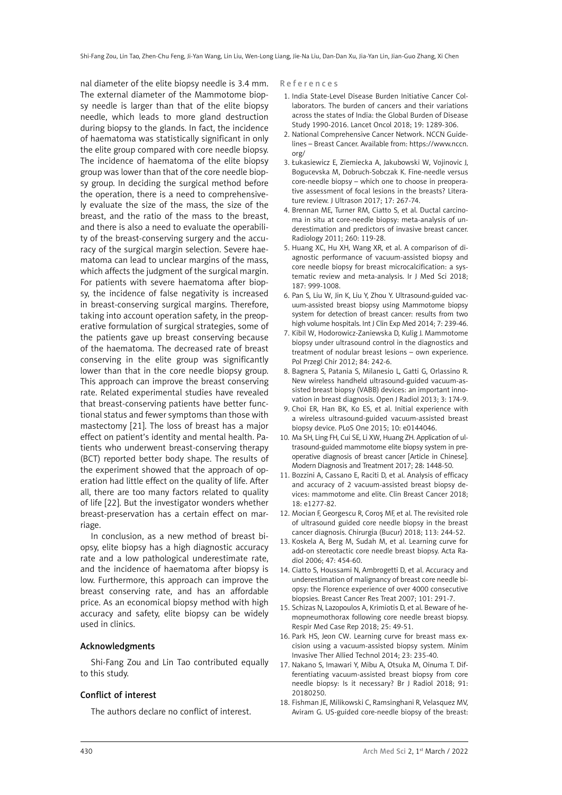nal diameter of the elite biopsy needle is 3.4 mm. The external diameter of the Mammotome biopsy needle is larger than that of the elite biopsy needle, which leads to more gland destruction during biopsy to the glands. In fact, the incidence of haematoma was statistically significant in only the elite group compared with core needle biopsy. The incidence of haematoma of the elite biopsy group was lower than that of the core needle biopsy group. In deciding the surgical method before the operation, there is a need to comprehensively evaluate the size of the mass, the size of the breast, and the ratio of the mass to the breast, and there is also a need to evaluate the operability of the breast-conserving surgery and the accuracy of the surgical margin selection. Severe haematoma can lead to unclear margins of the mass, which affects the judgment of the surgical margin. For patients with severe haematoma after biopsy, the incidence of false negativity is increased in breast-conserving surgical margins. Therefore, taking into account operation safety, in the preoperative formulation of surgical strategies, some of the patients gave up breast conserving because of the haematoma. The decreased rate of breast conserving in the elite group was significantly lower than that in the core needle biopsy group. This approach can improve the breast conserving rate. Related experimental studies have revealed that breast-conserving patients have better functional status and fewer symptoms than those with mastectomy [21]. The loss of breast has a major effect on patient's identity and mental health. Patients who underwent breast-conserving therapy (BCT) reported better body shape. The results of the experiment showed that the approach of operation had little effect on the quality of life. After all, there are too many factors related to quality of life [22]. But the investigator wonders whether breast-preservation has a certain effect on marriage.

In conclusion, as a new method of breast biopsy, elite biopsy has a high diagnostic accuracy rate and a low pathological underestimate rate, and the incidence of haematoma after biopsy is low. Furthermore, this approach can improve the breast conserving rate, and has an affordable price. As an economical biopsy method with high accuracy and safety, elite biopsy can be widely used in clinics.

## Acknowledgments

Shi-Fang Zou and Lin Tao contributed equally to this study.

#### Conflict of interest

The authors declare no conflict of interest.

#### References

- 1. India State-Level Disease Burden Initiative Cancer Collaborators. The burden of cancers and their variations across the states of India: the Global Burden of Disease Study 1990-2016. Lancet Oncol 2018; 19: 1289-306.
- 2. National Comprehensive Cancer Network. NCCN Guidelines – Breast Cancer. Available from: https://www.nccn. org/
- 3. Łukasiewicz E, Ziemiecka A, Jakubowski W, Vojinovic J, Bogucevska M, Dobruch-Sobczak K. Fine-needle versus core-needle biopsy – which one to choose in preoperative assessment of focal lesions in the breasts? Literature review. J Ultrason 2017; 17: 267-74.
- 4. Brennan ME, Turner RM, Ciatto S, et al. Ductal carcinoma in situ at core-needle biopsy: meta-analysis of underestimation and predictors of invasive breast cancer. Radiology 2011; 260: 119-28.
- 5. Huang XC, Hu XH, Wang XR, et al. A comparison of diagnostic performance of vacuum-assisted biopsy and core needle biopsy for breast microcalcification: a systematic review and meta-analysis. Ir J Med Sci 2018; 187: 999-1008.
- 6. Pan S, Liu W, Jin K, Liu Y, Zhou Y. Ultrasound-guided vacuum-assisted breast biopsy using Mammotome biopsy system for detection of breast cancer: results from two high volume hospitals. Int J Clin Exp Med 2014; 7: 239-46.
- 7. Kibil W, Hodorowicz-Zaniewska D, Kulig J. Mammotome biopsy under ultrasound control in the diagnostics and treatment of nodular breast lesions – own experience. Pol Przegl Chir 2012; 84: 242-6.
- 8. Bagnera S, Patania S, Milanesio L, Gatti G, Orlassino R. New wireless handheld ultrasound-guided vacuum-assisted breast biopsy (VABB) devices: an important innovation in breast diagnosis. Open J Radiol 2013; 3: 174-9.
- 9. Choi ER, Han BK, Ko ES, et al. Initial experience with a wireless ultrasound-guided vacuum-assisted breast biopsy device. PLoS One 2015; 10: e0144046.
- 10. Ma SH, Ling FH, Cui SE, Li XW, Huang ZH. Application of ultrasound-guided mammotome elite biopsy system in preoperative diagnosis of breast cancer [Article in Chinese]. Modern Diagnosis and Treatment 2017; 28: 1448-50.
- 11. Bozzini A, Cassano E, Raciti D, et al. Analysis of efficacy and accuracy of 2 vacuum-assisted breast biopsy devices: mammotome and elite. Clin Breast Cancer 2018; 18: e1277-82.
- 12. Mocian F, Georgescu R, Coroş MF, et al. The revisited role of ultrasound guided core needle biopsy in the breast cancer diagnosis. Chirurgia (Bucur) 2018; 113: 244-52.
- 13. Koskela A, Berg M, Sudah M, et al. Learning curve for add-on stereotactic core needle breast biopsy. Acta Radiol 2006; 47: 454-60.
- 14. Ciatto S, Houssami N, Ambrogetti D, et al. Accuracy and underestimation of malignancy of breast core needle biopsy: the Florence experience of over 4000 consecutive biopsies. Breast Cancer Res Treat 2007; 101: 291-7.
- 15. Schizas N, Lazopoulos A, Krimiotis D, et al. Beware of hemopneumothorax following core needle breast biopsy. Respir Med Case Rep 2018; 25: 49-51.
- 16. Park HS, Jeon CW. Learning curve for breast mass excision using a vacuum-assisted biopsy system. Minim Invasive Ther Allied Technol 2014; 23: 235-40.
- 17. Nakano S, Imawari Y, Mibu A, Otsuka M, Oinuma T. Differentiating vacuum-assisted breast biopsy from core needle biopsy: Is it necessary? Br J Radiol 2018; 91: 20180250.
- 18. Fishman JE, Milikowski C, Ramsinghani R, Velasquez MV, Aviram G. US-guided core-needle biopsy of the breast: